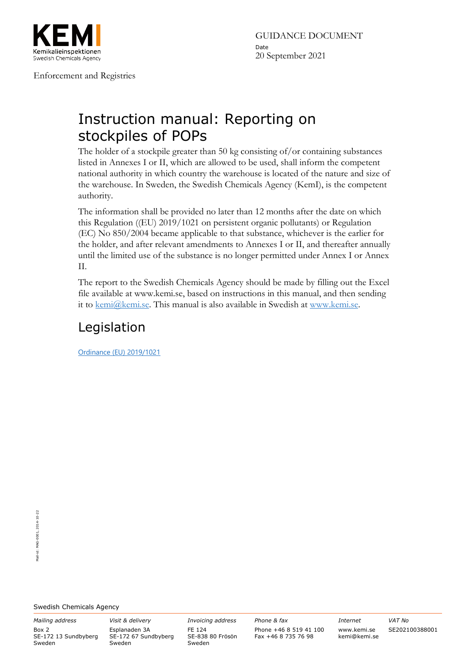

Enforcement and Registries

# Instruction manual: Reporting on stockpiles of POPs

The holder of a stockpile greater than 50 kg consisting of/or containing substances listed in Annexes I or II, which are allowed to be used, shall inform the competent national authority in which country the warehouse is located of the nature and size of the warehouse. In Sweden, the Swedish Chemicals Agency (KemI), is the competent authority.

The information shall be provided no later than 12 months after the date on which this Regulation ((EU) 2019/1021 on persistent organic pollutants) or Regulation (EC) No 850/2004 became applicable to that substance, whichever is the earlier for the holder, and after relevant amendments to Annexes I or II, and thereafter annually until the limited use of the substance is no longer permitted under Annex I or Annex II.

The report to the Swedish Chemicals Agency should be made by filling out the Excel file available at www.kemi.se, based on instructions in this manual, and then sending it to [kemi@kemi.se.](mailto:kemi@kemi.se) This manual is also available in Swedish at [www.kemi.se.](http://www.kemi.se/)

## Legislation

[Ordinance \(EU\) 2019/1021](https://eur-lex.europa.eu/legal-content/SV/TXT/PDF/?uri=CELEX:02019R1021-20210222&qid=1618326113984&from=SV)

Swedish Chemicals Agency

Box 2 SE-172 13 Sundbyberg Sweden

Esplanaden 3A SE-172 67 Sundbyberg Sweden

FE 124 SE-838 80 Frösön Sweden

*Mailing address Visit & delivery Invoicing address Phone & fax Internet VAT No* Phone +46 8 519 41 100 Fax +46 8 735 76 98

www.kemi.se kemi@kemi.se

SE202100388001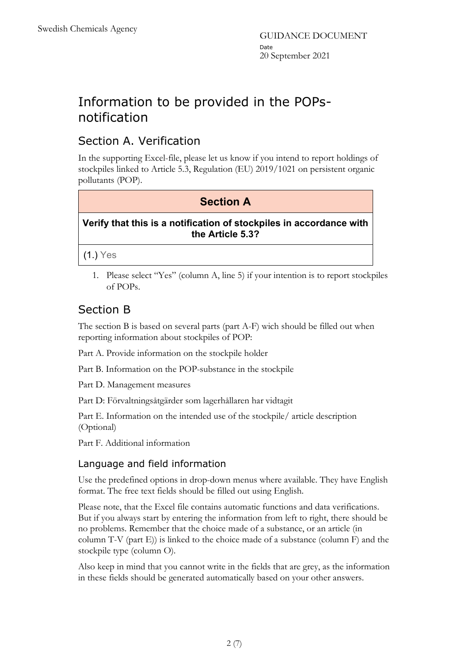## Information to be provided in the POPsnotification

### Section A. Verification

In the supporting Excel-file, please let us know if you intend to report holdings of stockpiles linked to Article 5.3, Regulation (EU) 2019/1021 on persistent organic pollutants (POP).

### **Section A**

#### **Verify that this is a notification of stockpiles in accordance with the Article 5.3?**

(1.) Yes

1. Please select "Yes" (column A, line 5) if your intention is to report stockpiles of POPs.

### Section B

The section B is based on several parts (part A-F) wich should be filled out when reporting information about stockpiles of POP:

Part A. Provide information on the stockpile holder

Part B. Information on the POP-substance in the stockpile

Part D. Management measures

Part D: Förvaltningsåtgärder som lagerhållaren har vidtagit

Part E. Information on the intended use of the stockpile/ article description (Optional)

Part F. Additional information

#### Language and field information

Use the predefined options in drop-down menus where available. They have English format. The free text fields should be filled out using English.

Please note, that the Excel file contains automatic functions and data verifications. But if you always start by entering the information from left to right, there should be no problems. Remember that the choice made of a substance, or an article (in column  $T-V$  (part E)) is linked to the choice made of a substance (column F) and the stockpile type (column O).

Also keep in mind that you cannot write in the fields that are grey, as the information in these fields should be generated automatically based on your other answers.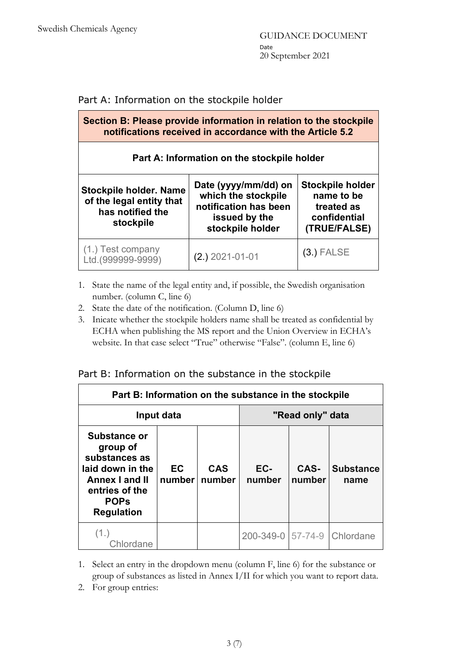#### Part A: Information on the stockpile holder

| Section B: Please provide information in relation to the stockpile<br>notifications received in accordance with the Article 5.2 |                                                                                                           |                                                                                     |  |  |  |
|---------------------------------------------------------------------------------------------------------------------------------|-----------------------------------------------------------------------------------------------------------|-------------------------------------------------------------------------------------|--|--|--|
| Part A: Information on the stockpile holder                                                                                     |                                                                                                           |                                                                                     |  |  |  |
| <b>Stockpile holder. Name</b><br>of the legal entity that<br>has notified the<br>stockpile                                      | Date (yyyy/mm/dd) on<br>which the stockpile<br>notification has been<br>issued by the<br>stockpile holder | <b>Stockpile holder</b><br>name to be<br>treated as<br>confidential<br>(TRUE/FALSE) |  |  |  |
| $(1.)$ Test company<br>Ltd.(999999-9999)                                                                                        | $(2.) 2021 - 01 - 01$                                                                                     | $(3.)$ FALSE                                                                        |  |  |  |

- 1. State the name of the legal entity and, if possible, the Swedish organisation number. (column C, line 6)
- 2. State the date of the notification. (Column D, line 6)
- 3. Inicate whether the stockpile holders name shall be treated as confidential by ECHA when publishing the MS report and the Union Overview in ECHA's website. In that case select "True" otherwise "False". (column E, line 6)

#### Part B: Information on the substance in the stockpile

| Part B: Information on the substance in the stockpile                                                                                 |                     |                      |               |                |                             |  |
|---------------------------------------------------------------------------------------------------------------------------------------|---------------------|----------------------|---------------|----------------|-----------------------------|--|
| Input data                                                                                                                            |                     | "Read only" data     |               |                |                             |  |
| Substance or<br>group of<br>substances as<br>laid down in the<br>Annex I and II<br>entries of the<br><b>POPs</b><br><b>Regulation</b> | <b>EC</b><br>number | <b>CAS</b><br>number | EC-<br>number | CAS-<br>number | <b>Substance</b><br>name    |  |
| (1.)<br>Chlordane                                                                                                                     |                     |                      |               |                | 200-349-0 57-74-9 Chlordane |  |

- 1. Select an entry in the dropdown menu (column F, line 6) for the substance or group of substances as listed in Annex I/II for which you want to report data.
- 2. For group entries: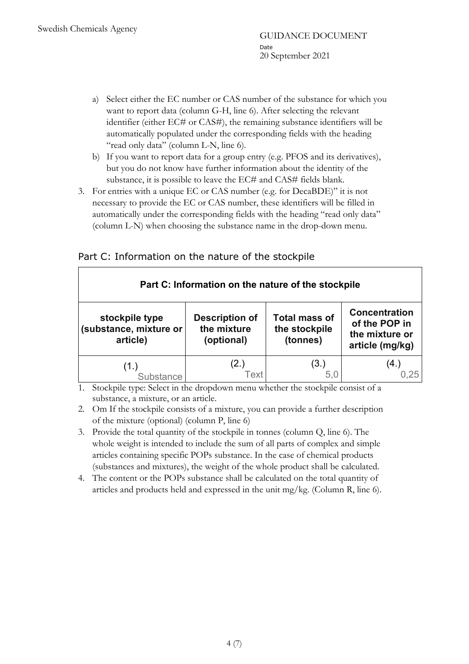- a) Select either the EC number or CAS number of the substance for which you want to report data (column G-H, line 6). After selecting the relevant identifier (either EC# or CAS#), the remaining substance identifiers will be automatically populated under the corresponding fields with the heading "read only data" (column L-N, line 6).
- b) If you want to report data for a group entry (e.g. PFOS and its derivatives), but you do not know have further information about the identity of the substance, it is possible to leave the EC# and CAS# fields blank.
- 3. For entries with a unique EC or CAS number (e.g. for DecaBDE)" it is not necessary to provide the EC or CAS number, these identifiers will be filled in automatically under the corresponding fields with the heading "read only data" (column L-N) when choosing the substance name in the drop-down menu.

#### Part C: Information on the nature of the stockpile

| Part C: Information on the nature of the stockpile   |                                                    |                                                   |                                                                            |  |  |  |
|------------------------------------------------------|----------------------------------------------------|---------------------------------------------------|----------------------------------------------------------------------------|--|--|--|
| stockpile type<br>(substance, mixture or<br>article) | <b>Description of</b><br>the mixture<br>(optional) | <b>Total mass of</b><br>the stockpile<br>(tonnes) | <b>Concentration</b><br>of the POP in<br>the mixture or<br>article (mg/kg) |  |  |  |
| Substance                                            | (2.)<br>Гех:                                       | (3.)<br>5.                                        | (4.)                                                                       |  |  |  |

1. Stockpile type: Select in the dropdown menu whether the stockpile consist of a substance, a mixture, or an article.

- 2. Om If the stockpile consists of a mixture, you can provide a further description of the mixture (optional) (column P, line 6)
- 3. Provide the total quantity of the stockpile in tonnes (column Q, line 6). The whole weight is intended to include the sum of all parts of complex and simple articles containing specific POPs substance. In the case of chemical products (substances and mixtures), the weight of the whole product shall be calculated.
- 4. The content or the POPs substance shall be calculated on the total quantity of articles and products held and expressed in the unit mg/kg. (Column R, line 6).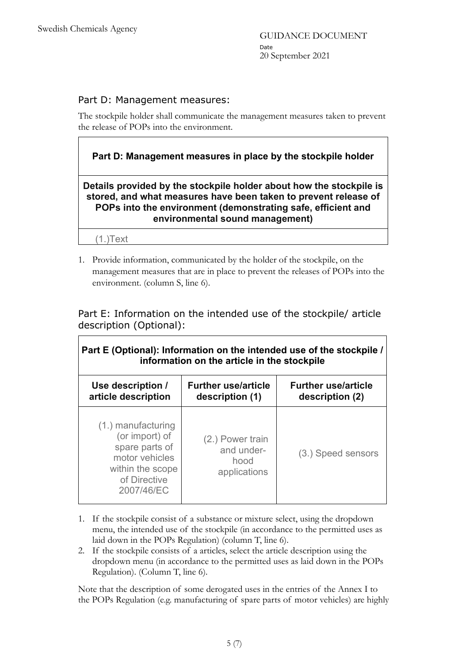#### Part D: Management measures:

The stockpile holder shall communicate the management measures taken to prevent the release of POPs into the environment.

**Details provided by the stockpile holder about how the stockpile is stored, and what measures have been taken to prevent release of POPs into the environment (demonstrating safe, efficient and environmental sound management)**

(1.)Text

1. Provide information, communicated by the holder of the stockpile, on the management measures that are in place to prevent the releases of POPs into the environment. (column S, line 6).

Part E: Information on the intended use of the stockpile/ article description (Optional):

| Part E (Optional): Information on the intended use of the stockpile /<br>information on the article in the stockpile         |                                                        |                                               |  |  |  |
|------------------------------------------------------------------------------------------------------------------------------|--------------------------------------------------------|-----------------------------------------------|--|--|--|
| Use description /<br>article description                                                                                     | <b>Further use/article</b><br>description (1)          | <b>Further use/article</b><br>description (2) |  |  |  |
| $(1.)$ manufacturing<br>(or import) of<br>spare parts of<br>motor vehicles<br>within the scope<br>of Directive<br>2007/46/EC | (2.) Power train<br>and under-<br>hood<br>applications | (3.) Speed sensors                            |  |  |  |

- 1. If the stockpile consist of a substance or mixture select, using the dropdown menu, the intended use of the stockpile (in accordance to the permitted uses as laid down in the POPs Regulation) (column T, line 6).
- 2. If the stockpile consists of a articles, select the article description using the dropdown menu (in accordance to the permitted uses as laid down in the POPs Regulation). (Column T, line 6).

Note that the description of some derogated uses in the entries of the Annex I to the POPs Regulation (e.g. manufacturing of spare parts of motor vehicles) are highly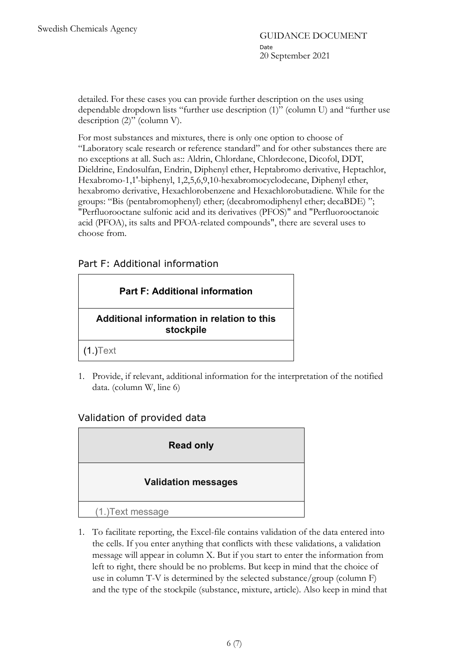detailed. For these cases you can provide further description on the uses using dependable dropdown lists "further use description (1)" (column U) and "further use description (2)" (column V).

For most substances and mixtures, there is only one option to choose of "Laboratory scale research or reference standard" and for other substances there are no exceptions at all. Such as:: Aldrin, Chlordane, Chlordecone, Dicofol, DDT, Dieldrine, Endosulfan, Endrin, Diphenyl ether, Heptabromo derivative, Heptachlor, Hexabromo-1,1'-biphenyl, 1,2,5,6,9,10-hexabromocyclodecane, Diphenyl ether, hexabromo derivative, Hexachlorobenzene and Hexachlorobutadiene. While for the groups: "Bis (pentabromophenyl) ether; (decabromodiphenyl ether; decaBDE) "; "Perfluorooctane sulfonic acid and its derivatives (PFOS)" and "Perfluorooctanoic acid (PFOA), its salts and PFOA-related compounds", there are several uses to choose from.

#### Part F: Additional information

**Additional information in relation to this stockpile**

(1.)Text

1. Provide, if relevant, additional information for the interpretation of the notified data. (column W, line 6)

#### Validation of provided data



1. To facilitate reporting, the Excel-file contains validation of the data entered into the cells. If you enter anything that conflicts with these validations, a validation message will appear in column X. But if you start to enter the information from left to right, there should be no problems. But keep in mind that the choice of use in column T-V is determined by the selected substance/group (column F) and the type of the stockpile (substance, mixture, article). Also keep in mind that